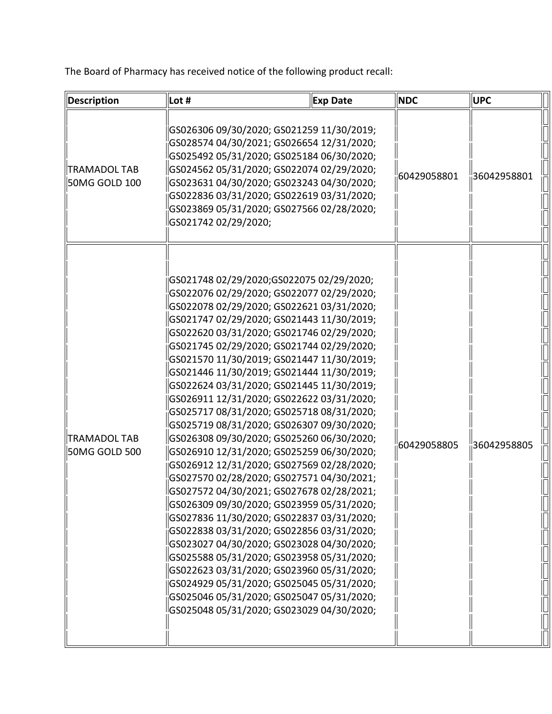The Board of Pharmacy has received notice of the following product recall:

| Description                   | Lot #                                                                                                                                                                                                                                                                                                                                                                                                                                                                                                                                                                                                                                                                                                                                                                                                                                                                                                                                                                                                                                                                                                                                                                                                          | <b>Exp Date</b> | <b>NDC</b>  | <b>UPC</b>  |
|-------------------------------|----------------------------------------------------------------------------------------------------------------------------------------------------------------------------------------------------------------------------------------------------------------------------------------------------------------------------------------------------------------------------------------------------------------------------------------------------------------------------------------------------------------------------------------------------------------------------------------------------------------------------------------------------------------------------------------------------------------------------------------------------------------------------------------------------------------------------------------------------------------------------------------------------------------------------------------------------------------------------------------------------------------------------------------------------------------------------------------------------------------------------------------------------------------------------------------------------------------|-----------------|-------------|-------------|
| TRAMADOL TAB<br>50MG GOLD 100 | GS026306 09/30/2020; GS021259 11/30/2019;<br>GS028574 04/30/2021; GS026654 12/31/2020;<br>GS025492 05/31/2020; GS025184 06/30/2020;<br>GS024562 05/31/2020; GS022074 02/29/2020;<br>GS023631 04/30/2020; GS023243 04/30/2020;<br>GS022836 03/31/2020; GS022619 03/31/2020;<br>GS023869 05/31/2020; GS027566 02/28/2020;<br>GS021742 02/29/2020;                                                                                                                                                                                                                                                                                                                                                                                                                                                                                                                                                                                                                                                                                                                                                                                                                                                                |                 | 60429058801 | 36042958801 |
| TRAMADOL TAB<br>50MG GOLD 500 | GS021748 02/29/2020;GS022075 02/29/2020;<br>GS022076 02/29/2020; GS022077 02/29/2020;<br>GS022078 02/29/2020; GS022621 03/31/2020;<br>GS021747 02/29/2020; GS021443 11/30/2019;<br>GS022620 03/31/2020; GS021746 02/29/2020;<br>GS021745 02/29/2020; GS021744 02/29/2020;<br>GS021570 11/30/2019; GS021447 11/30/2019;<br>GS021446 11/30/2019; GS021444 11/30/2019;<br>GS022624 03/31/2020; GS021445 11/30/2019;<br>GS026911 12/31/2020; GS022622 03/31/2020;<br>GS025717 08/31/2020; GS025718 08/31/2020;<br>GS025719 08/31/2020; GS026307 09/30/2020;<br>GS026308 09/30/2020; GS025260 06/30/2020;<br>GS026910 12/31/2020; GS025259 06/30/2020;<br>GS026912 12/31/2020; GS027569 02/28/2020;<br>GS027570 02/28/2020; GS027571 04/30/2021;<br>lGS027572 04/30/2021; GS027678 02/28/2021;<br>GS026309 09/30/2020; GS023959 05/31/2020;<br>GS027836 11/30/2020; GS022837 03/31/2020;<br>GS022838 03/31/2020; GS022856 03/31/2020;<br>GS023027 04/30/2020; GS023028 04/30/2020;<br>GS025588 05/31/2020; GS023958 05/31/2020;<br>GS022623 03/31/2020; GS023960 05/31/2020;<br>GS024929 05/31/2020; GS025045 05/31/2020;<br>GS025046 05/31/2020; GS025047 05/31/2020;<br>GS025048 05/31/2020; GS023029 04/30/2020; |                 | 60429058805 | 36042958805 |